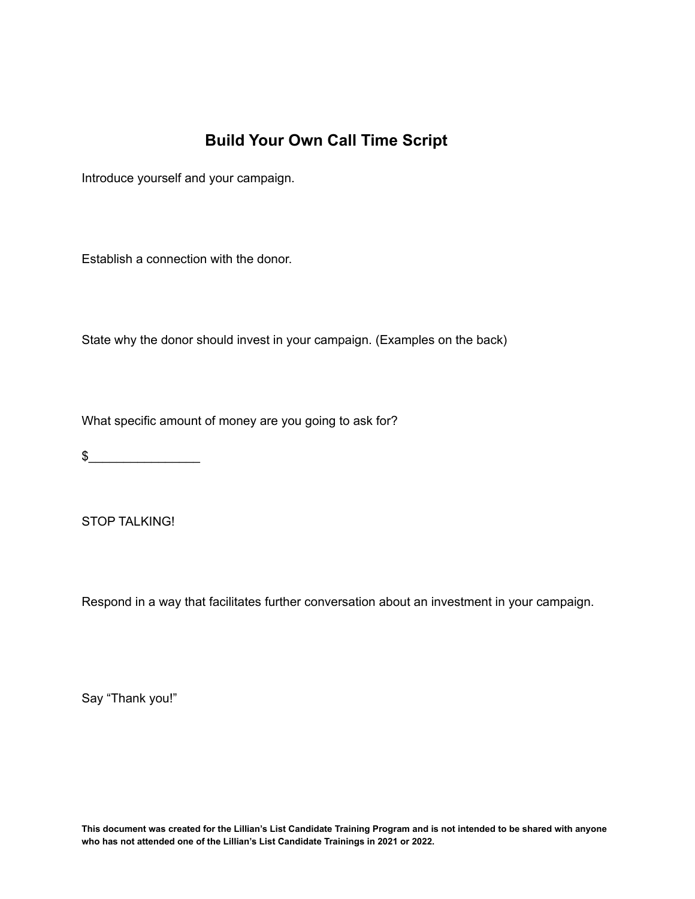## **Build Your Own Call Time Script**

Introduce yourself and your campaign.

Establish a connection with the donor.

State why the donor should invest in your campaign. (Examples on the back)

What specific amount of money are you going to ask for?

 $\frac{1}{2}$ 

STOP TALKING!

Respond in a way that facilitates further conversation about an investment in your campaign.

Say "Thank you!"